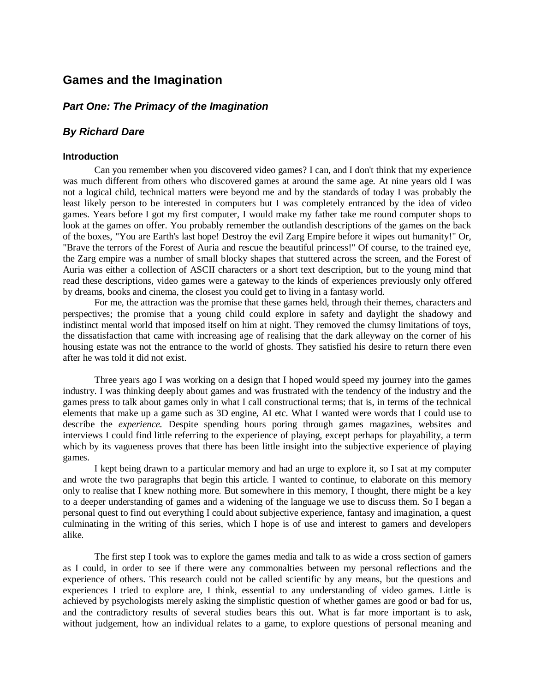# **Games and the Imagination**

# *Part One: The Primacy of the Imagination*

# *By Richard Dare*

#### **Introduction**

Can you remember when you discovered video games? I can, and I don't think that my experience was much different from others who discovered games at around the same age. At nine years old I was not a logical child, technical matters were beyond me and by the standards of today I was probably the least likely person to be interested in computers but I was completely entranced by the idea of video games. Years before I got my first computer, I would make my father take me round computer shops to look at the games on offer. You probably remember the outlandish descriptions of the games on the back of the boxes, "You are Earth's last hope! Destroy the evil Zarg Empire before it wipes out humanity!" Or, "Brave the terrors of the Forest of Auria and rescue the beautiful princess!" Of course, to the trained eye, the Zarg empire was a number of small blocky shapes that stuttered across the screen, and the Forest of Auria was either a collection of ASCII characters or a short text description, but to the young mind that read these descriptions, video games were a gateway to the kinds of experiences previously only offered by dreams, books and cinema, the closest you could get to living in a fantasy world.

For me, the attraction was the promise that these games held, through their themes, characters and perspectives; the promise that a young child could explore in safety and daylight the shadowy and indistinct mental world that imposed itself on him at night. They removed the clumsy limitations of toys, the dissatisfaction that came with increasing age of realising that the dark alleyway on the corner of his housing estate was not the entrance to the world of ghosts. They satisfied his desire to return there even after he was told it did not exist.

Three years ago I was working on a design that I hoped would speed my journey into the games industry. I was thinking deeply about games and was frustrated with the tendency of the industry and the games press to talk about games only in what I call constructional terms; that is, in terms of the technical elements that make up a game such as 3D engine, AI etc. What I wanted were words that I could use to describe the *experience.* Despite spending hours poring through games magazines, websites and interviews I could find little referring to the experience of playing, except perhaps for playability, a term which by its vagueness proves that there has been little insight into the subjective experience of playing games.

I kept being drawn to a particular memory and had an urge to explore it, so I sat at my computer and wrote the two paragraphs that begin this article. I wanted to continue, to elaborate on this memory only to realise that I knew nothing more. But somewhere in this memory, I thought, there might be a key to a deeper understanding of games and a widening of the language we use to discuss them. So I began a personal quest to find out everything I could about subjective experience, fantasy and imagination, a quest culminating in the writing of this series, which I hope is of use and interest to gamers and developers alike.

The first step I took was to explore the games media and talk to as wide a cross section of gamers as I could, in order to see if there were any commonalties between my personal reflections and the experience of others. This research could not be called scientific by any means, but the questions and experiences I tried to explore are, I think, essential to any understanding of video games. Little is achieved by psychologists merely asking the simplistic question of whether games are good or bad for us, and the contradictory results of several studies bears this out. What is far more important is to ask, without judgement, how an individual relates to a game, to explore questions of personal meaning and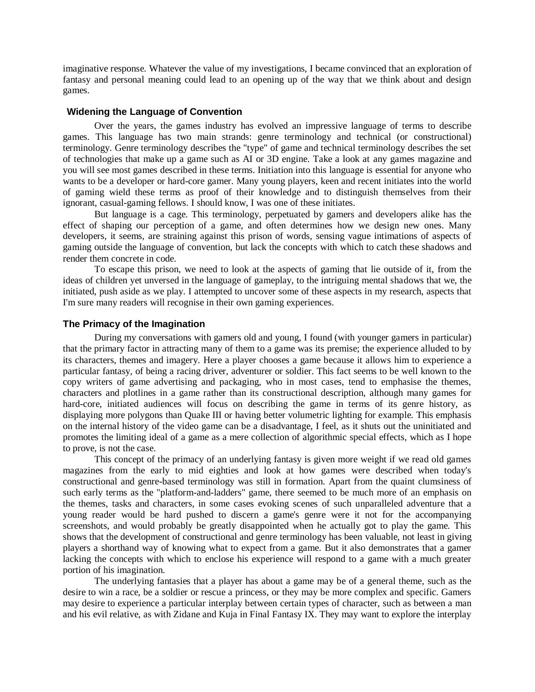imaginative response. Whatever the value of my investigations, I became convinced that an exploration of fantasy and personal meaning could lead to an opening up of the way that we think about and design games.

### **Widening the Language of Convention**

Over the years, the games industry has evolved an impressive language of terms to describe games. This language has two main strands: genre terminology and technical (or constructional) terminology. Genre terminology describes the "type" of game and technical terminology describes the set of technologies that make up a game such as AI or 3D engine. Take a look at any games magazine and you will see most games described in these terms. Initiation into this language is essential for anyone who wants to be a developer or hard-core gamer. Many young players, keen and recent initiates into the world of gaming wield these terms as proof of their knowledge and to distinguish themselves from their ignorant, casual-gaming fellows. I should know, I was one of these initiates.

But language is a cage. This terminology, perpetuated by gamers and developers alike has the effect of shaping our perception of a game, and often determines how we design new ones. Many developers, it seems, are straining against this prison of words, sensing vague intimations of aspects of gaming outside the language of convention, but lack the concepts with which to catch these shadows and render them concrete in code.

To escape this prison, we need to look at the aspects of gaming that lie outside of it, from the ideas of children yet unversed in the language of gameplay, to the intriguing mental shadows that we, the initiated, push aside as we play. I attempted to uncover some of these aspects in my research, aspects that I'm sure many readers will recognise in their own gaming experiences.

### **The Primacy of the Imagination**

During my conversations with gamers old and young, I found (with younger gamers in particular) that the primary factor in attracting many of them to a game was its premise; the experience alluded to by its characters, themes and imagery. Here a player chooses a game because it allows him to experience a particular fantasy, of being a racing driver, adventurer or soldier. This fact seems to be well known to the copy writers of game advertising and packaging, who in most cases, tend to emphasise the themes, characters and plotlines in a game rather than its constructional description, although many games for hard-core, initiated audiences will focus on describing the game in terms of its genre history, as displaying more polygons than Quake III or having better volumetric lighting for example. This emphasis on the internal history of the video game can be a disadvantage, I feel, as it shuts out the uninitiated and promotes the limiting ideal of a game as a mere collection of algorithmic special effects, which as I hope to prove, is not the case.

This concept of the primacy of an underlying fantasy is given more weight if we read old games magazines from the early to mid eighties and look at how games were described when today's constructional and genre-based terminology was still in formation. Apart from the quaint clumsiness of such early terms as the "platform-and-ladders" game, there seemed to be much more of an emphasis on the themes, tasks and characters, in some cases evoking scenes of such unparalleled adventure that a young reader would be hard pushed to discern a game's genre were it not for the accompanying screenshots, and would probably be greatly disappointed when he actually got to play the game. This shows that the development of constructional and genre terminology has been valuable, not least in giving players a shorthand way of knowing what to expect from a game. But it also demonstrates that a gamer lacking the concepts with which to enclose his experience will respond to a game with a much greater portion of his imagination.

The underlying fantasies that a player has about a game may be of a general theme, such as the desire to win a race, be a soldier or rescue a princess, or they may be more complex and specific. Gamers may desire to experience a particular interplay between certain types of character, such as between a man and his evil relative, as with Zidane and Kuja in Final Fantasy IX. They may want to explore the interplay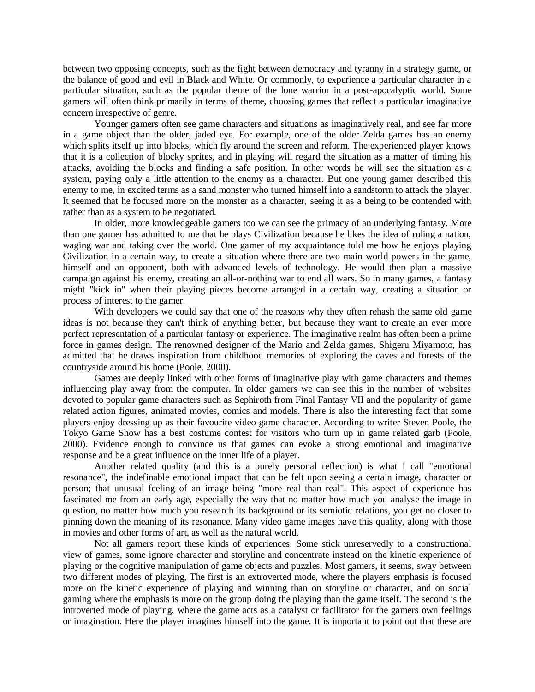between two opposing concepts, such as the fight between democracy and tyranny in a strategy game, or the balance of good and evil in Black and White. Or commonly, to experience a particular character in a particular situation, such as the popular theme of the lone warrior in a post-apocalyptic world. Some gamers will often think primarily in terms of theme, choosing games that reflect a particular imaginative concern irrespective of genre.

Younger gamers often see game characters and situations as imaginatively real, and see far more in a game object than the older, jaded eye. For example, one of the older Zelda games has an enemy which splits itself up into blocks, which fly around the screen and reform. The experienced player knows that it is a collection of blocky sprites, and in playing will regard the situation as a matter of timing his attacks, avoiding the blocks and finding a safe position. In other words he will see the situation as a system, paying only a little attention to the enemy as a character. But one young gamer described this enemy to me, in excited terms as a sand monster who turned himself into a sandstorm to attack the player. It seemed that he focused more on the monster as a character, seeing it as a being to be contended with rather than as a system to be negotiated.

In older, more knowledgeable gamers too we can see the primacy of an underlying fantasy. More than one gamer has admitted to me that he plays Civilization because he likes the idea of ruling a nation, waging war and taking over the world. One gamer of my acquaintance told me how he enjoys playing Civilization in a certain way, to create a situation where there are two main world powers in the game, himself and an opponent, both with advanced levels of technology. He would then plan a massive campaign against his enemy, creating an all-or-nothing war to end all wars. So in many games, a fantasy might "kick in" when their playing pieces become arranged in a certain way, creating a situation or process of interest to the gamer.

With developers we could say that one of the reasons why they often rehash the same old game ideas is not because they can't think of anything better, but because they want to create an ever more perfect representation of a particular fantasy or experience. The imaginative realm has often been a prime force in games design. The renowned designer of the Mario and Zelda games, Shigeru Miyamoto, has admitted that he draws inspiration from childhood memories of exploring the caves and forests of the countryside around his home (Poole, 2000).

Games are deeply linked with other forms of imaginative play with game characters and themes influencing play away from the computer. In older gamers we can see this in the number of websites devoted to popular game characters such as Sephiroth from Final Fantasy VII and the popularity of game related action figures, animated movies, comics and models. There is also the interesting fact that some players enjoy dressing up as their favourite video game character. According to writer Steven Poole, the Tokyo Game Show has a best costume contest for visitors who turn up in game related garb (Poole, 2000). Evidence enough to convince us that games can evoke a strong emotional and imaginative response and be a great influence on the inner life of a player.

Another related quality (and this is a purely personal reflection) is what I call "emotional resonance", the indefinable emotional impact that can be felt upon seeing a certain image, character or person; that unusual feeling of an image being "more real than real". This aspect of experience has fascinated me from an early age, especially the way that no matter how much you analyse the image in question, no matter how much you research its background or its semiotic relations, you get no closer to pinning down the meaning of its resonance. Many video game images have this quality, along with those in movies and other forms of art, as well as the natural world.

Not all gamers report these kinds of experiences. Some stick unreservedly to a constructional view of games, some ignore character and storyline and concentrate instead on the kinetic experience of playing or the cognitive manipulation of game objects and puzzles. Most gamers, it seems, sway between two different modes of playing, The first is an extroverted mode, where the players emphasis is focused more on the kinetic experience of playing and winning than on storyline or character, and on social gaming where the emphasis is more on the group doing the playing than the game itself. The second is the introverted mode of playing, where the game acts as a catalyst or facilitator for the gamers own feelings or imagination. Here the player imagines himself into the game. It is important to point out that these are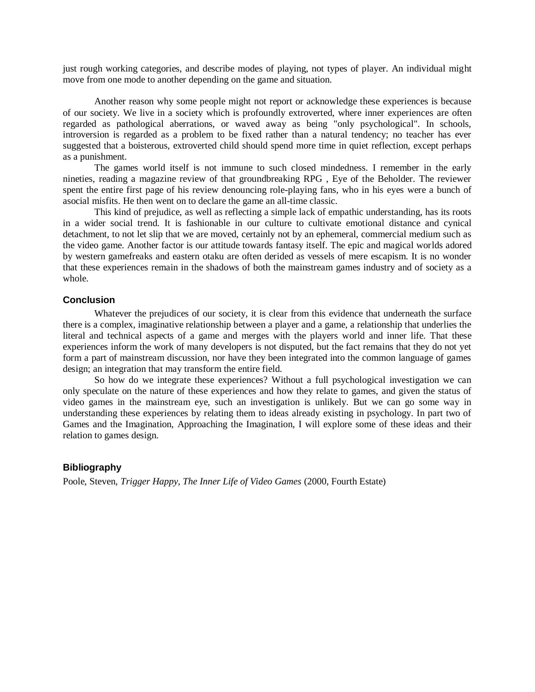just rough working categories, and describe modes of playing, not types of player. An individual might move from one mode to another depending on the game and situation.

Another reason why some people might not report or acknowledge these experiences is because of our society. We live in a society which is profoundly extroverted, where inner experiences are often regarded as pathological aberrations, or waved away as being "only psychological". In schools, introversion is regarded as a problem to be fixed rather than a natural tendency; no teacher has ever suggested that a boisterous, extroverted child should spend more time in quiet reflection, except perhaps as a punishment.

The games world itself is not immune to such closed mindedness. I remember in the early nineties, reading a magazine review of that groundbreaking RPG , Eye of the Beholder. The reviewer spent the entire first page of his review denouncing role-playing fans, who in his eyes were a bunch of asocial misfits. He then went on to declare the game an all-time classic.

This kind of prejudice, as well as reflecting a simple lack of empathic understanding, has its roots in a wider social trend. It is fashionable in our culture to cultivate emotional distance and cynical detachment, to not let slip that we are moved, certainly not by an ephemeral, commercial medium such as the video game. Another factor is our attitude towards fantasy itself. The epic and magical worlds adored by western gamefreaks and eastern otaku are often derided as vessels of mere escapism. It is no wonder that these experiences remain in the shadows of both the mainstream games industry and of society as a whole.

#### **Conclusion**

Whatever the prejudices of our society, it is clear from this evidence that underneath the surface there is a complex, imaginative relationship between a player and a game, a relationship that underlies the literal and technical aspects of a game and merges with the players world and inner life. That these experiences inform the work of many developers is not disputed, but the fact remains that they do not yet form a part of mainstream discussion, nor have they been integrated into the common language of games design; an integration that may transform the entire field.

So how do we integrate these experiences? Without a full psychological investigation we can only speculate on the nature of these experiences and how they relate to games, and given the status of video games in the mainstream eye, such an investigation is unlikely. But we can go some way in understanding these experiences by relating them to ideas already existing in psychology. In part two of Games and the Imagination, Approaching the Imagination, I will explore some of these ideas and their relation to games design.

## **Bibliography**

Poole, Steven, *Trigger Happy, The Inner Life of Video Games* (2000, Fourth Estate)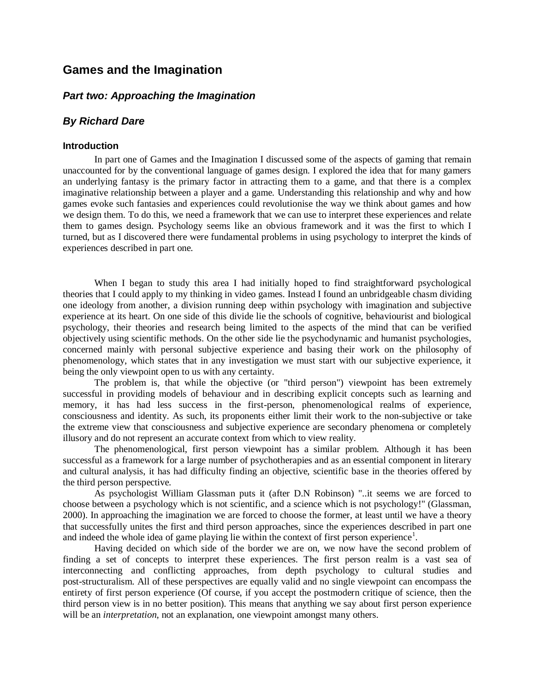# **Games and the Imagination**

# *Part two: Approaching the Imagination*

# *By Richard Dare*

#### **Introduction**

In part one of Games and the Imagination I discussed some of the aspects of gaming that remain unaccounted for by the conventional language of games design. I explored the idea that for many gamers an underlying fantasy is the primary factor in attracting them to a game, and that there is a complex imaginative relationship between a player and a game. Understanding this relationship and why and how games evoke such fantasies and experiences could revolutionise the way we think about games and how we design them. To do this, we need a framework that we can use to interpret these experiences and relate them to games design. Psychology seems like an obvious framework and it was the first to which I turned, but as I discovered there were fundamental problems in using psychology to interpret the kinds of experiences described in part one.

When I began to study this area I had initially hoped to find straightforward psychological theories that I could apply to my thinking in video games. Instead I found an unbridgeable chasm dividing one ideology from another, a division running deep within psychology with imagination and subjective experience at its heart. On one side of this divide lie the schools of cognitive, behaviourist and biological psychology, their theories and research being limited to the aspects of the mind that can be verified objectively using scientific methods. On the other side lie the psychodynamic and humanist psychologies, concerned mainly with personal subjective experience and basing their work on the philosophy of phenomenology, which states that in any investigation we must start with our subjective experience, it being the only viewpoint open to us with any certainty.

The problem is, that while the objective (or "third person") viewpoint has been extremely successful in providing models of behaviour and in describing explicit concepts such as learning and memory, it has had less success in the first-person, phenomenological realms of experience, consciousness and identity. As such, its proponents either limit their work to the non-subjective or take the extreme view that consciousness and subjective experience are secondary phenomena or completely illusory and do not represent an accurate context from which to view reality.

The phenomenological, first person viewpoint has a similar problem. Although it has been successful as a framework for a large number of psychotherapies and as an essential component in literary and cultural analysis, it has had difficulty finding an objective, scientific base in the theories offered by the third person perspective.

As psychologist William Glassman puts it (after D.N Robinson) "..it seems we are forced to choose between a psychology which is not scientific, and a science which is not psychology!" (Glassman, 2000). In approaching the imagination we are forced to choose the former, at least until we have a theory that successfully unites the first and third person approaches, since the experiences described in part one and indeed the whole idea of game playing lie within the context of first person experience<sup>1</sup>.

Having decided on which side of the border we are on, we now have the second problem of finding a set of concepts to interpret these experiences. The first person realm is a vast sea of interconnecting and conflicting approaches, from depth psychology to cultural studies and post-structuralism. All of these perspectives are equally valid and no single viewpoint can encompass the entirety of first person experience (Of course, if you accept the postmodern critique of science, then the third person view is in no better position). This means that anything we say about first person experience will be an *interpretation*, not an explanation, one viewpoint amongst many others.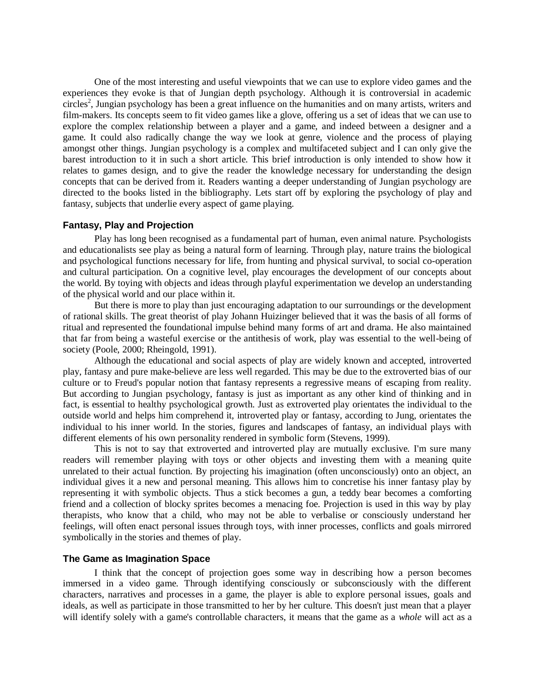One of the most interesting and useful viewpoints that we can use to explore video games and the experiences they evoke is that of Jungian depth psychology. Although it is controversial in academic circles<sup>2</sup>, Jungian psychology has been a great influence on the humanities and on many artists, writers and film-makers. Its concepts seem to fit video games like a glove, offering us a set of ideas that we can use to explore the complex relationship between a player and a game, and indeed between a designer and a game. It could also radically change the way we look at genre, violence and the process of playing amongst other things. Jungian psychology is a complex and multifaceted subject and I can only give the barest introduction to it in such a short article. This brief introduction is only intended to show how it relates to games design, and to give the reader the knowledge necessary for understanding the design concepts that can be derived from it. Readers wanting a deeper understanding of Jungian psychology are directed to the books listed in the bibliography. Lets start off by exploring the psychology of play and fantasy, subjects that underlie every aspect of game playing.

### **Fantasy, Play and Projection**

Play has long been recognised as a fundamental part of human, even animal nature. Psychologists and educationalists see play as being a natural form of learning. Through play, nature trains the biological and psychological functions necessary for life, from hunting and physical survival, to social co-operation and cultural participation. On a cognitive level, play encourages the development of our concepts about the world. By toying with objects and ideas through playful experimentation we develop an understanding of the physical world and our place within it.

But there is more to play than just encouraging adaptation to our surroundings or the development of rational skills. The great theorist of play Johann Huizinger believed that it was the basis of all forms of ritual and represented the foundational impulse behind many forms of art and drama. He also maintained that far from being a wasteful exercise or the antithesis of work, play was essential to the well-being of society (Poole, 2000; Rheingold, 1991).

Although the educational and social aspects of play are widely known and accepted, introverted play, fantasy and pure make-believe are less well regarded. This may be due to the extroverted bias of our culture or to Freud's popular notion that fantasy represents a regressive means of escaping from reality. But according to Jungian psychology, fantasy is just as important as any other kind of thinking and in fact, is essential to healthy psychological growth. Just as extroverted play orientates the individual to the outside world and helps him comprehend it, introverted play or fantasy, according to Jung, orientates the individual to his inner world. In the stories, figures and landscapes of fantasy, an individual plays with different elements of his own personality rendered in symbolic form (Stevens, 1999).

This is not to say that extroverted and introverted play are mutually exclusive. I'm sure many readers will remember playing with toys or other objects and investing them with a meaning quite unrelated to their actual function. By projecting his imagination (often unconsciously) onto an object, an individual gives it a new and personal meaning. This allows him to concretise his inner fantasy play by representing it with symbolic objects. Thus a stick becomes a gun, a teddy bear becomes a comforting friend and a collection of blocky sprites becomes a menacing foe. Projection is used in this way by play therapists, who know that a child, who may not be able to verbalise or consciously understand her feelings, will often enact personal issues through toys, with inner processes, conflicts and goals mirrored symbolically in the stories and themes of play.

### **The Game as Imagination Space**

I think that the concept of projection goes some way in describing how a person becomes immersed in a video game. Through identifying consciously or subconsciously with the different characters, narratives and processes in a game, the player is able to explore personal issues, goals and ideals, as well as participate in those transmitted to her by her culture. This doesn't just mean that a player will identify solely with a game's controllable characters, it means that the game as a *whole* will act as a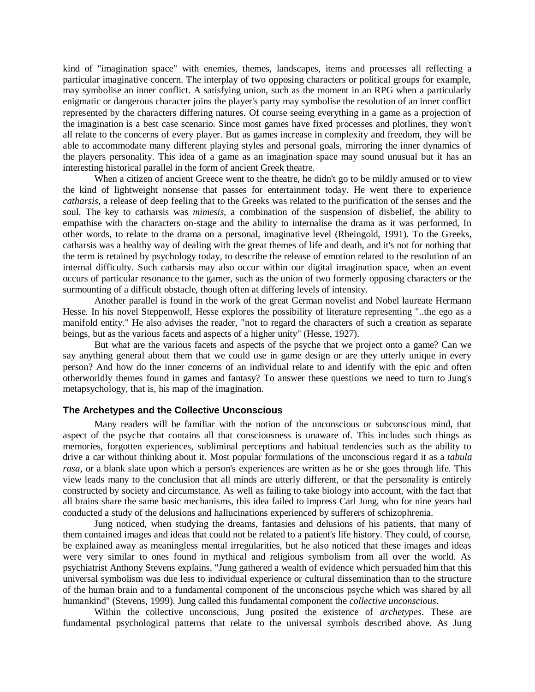kind of "imagination space" with enemies, themes, landscapes, items and processes all reflecting a particular imaginative concern. The interplay of two opposing characters or political groups for example, may symbolise an inner conflict. A satisfying union, such as the moment in an RPG when a particularly enigmatic or dangerous character joins the player's party may symbolise the resolution of an inner conflict represented by the characters differing natures. Of course seeing everything in a game as a projection of the imagination is a best case scenario. Since most games have fixed processes and plotlines, they won't all relate to the concerns of every player. But as games increase in complexity and freedom, they will be able to accommodate many different playing styles and personal goals, mirroring the inner dynamics of the players personality. This idea of a game as an imagination space may sound unusual but it has an interesting historical parallel in the form of ancient Greek theatre.

When a citizen of ancient Greece went to the theatre, he didn't go to be mildly amused or to view the kind of lightweight nonsense that passes for entertainment today. He went there to experience *catharsis,* a release of deep feeling that to the Greeks was related to the purification of the senses and the soul. The key to catharsis was *mimesis,* a combination of the suspension of disbelief, the ability to empathise with the characters on-stage and the ability to internalise the drama as it was performed, In other words, to relate to the drama on a personal, imaginative level (Rheingold, 1991). To the Greeks, catharsis was a healthy way of dealing with the great themes of life and death, and it's not for nothing that the term is retained by psychology today, to describe the release of emotion related to the resolution of an internal difficulty. Such catharsis may also occur within our digital imagination space, when an event occurs of particular resonance to the gamer, such as the union of two formerly opposing characters or the surmounting of a difficult obstacle, though often at differing levels of intensity.

Another parallel is found in the work of the great German novelist and Nobel laureate Hermann Hesse. In his novel Steppenwolf, Hesse explores the possibility of literature representing "..the ego as a manifold entity." He also advises the reader, "not to regard the characters of such a creation as separate beings, but as the various facets and aspects of a higher unity" (Hesse, 1927).

But what are the various facets and aspects of the psyche that we project onto a game? Can we say anything general about them that we could use in game design or are they utterly unique in every person? And how do the inner concerns of an individual relate to and identify with the epic and often otherworldly themes found in games and fantasy? To answer these questions we need to turn to Jung's metapsychology, that is, his map of the imagination.

#### **The Archetypes and the Collective Unconscious**

Many readers will be familiar with the notion of the unconscious or subconscious mind, that aspect of the psyche that contains all that consciousness is unaware of. This includes such things as memories, forgotten experiences, subliminal perceptions and habitual tendencies such as the ability to drive a car without thinking about it. Most popular formulations of the unconscious regard it as a *tabula rasa*, or a blank slate upon which a person's experiences are written as he or she goes through life. This view leads many to the conclusion that all minds are utterly different, or that the personality is entirely constructed by society and circumstance. As well as failing to take biology into account, with the fact that all brains share the same basic mechanisms, this idea failed to impress Carl Jung, who for nine years had conducted a study of the delusions and hallucinations experienced by sufferers of schizophrenia.

Jung noticed, when studying the dreams, fantasies and delusions of his patients, that many of them contained images and ideas that could not be related to a patient's life history. They could, of course, be explained away as meaningless mental irregularities, but he also noticed that these images and ideas were very similar to ones found in mythical and religious symbolism from all over the world. As psychiatrist Anthony Stevens explains, "Jung gathered a wealth of evidence which persuaded him that this universal symbolism was due less to individual experience or cultural dissemination than to the structure of the human brain and to a fundamental component of the unconscious psyche which was shared by all humankind" (Stevens, 1999). Jung called this fundamental component the *collective unconscious*.

Within the collective unconscious, Jung posited the existence of *archetypes*. These are fundamental psychological patterns that relate to the universal symbols described above. As Jung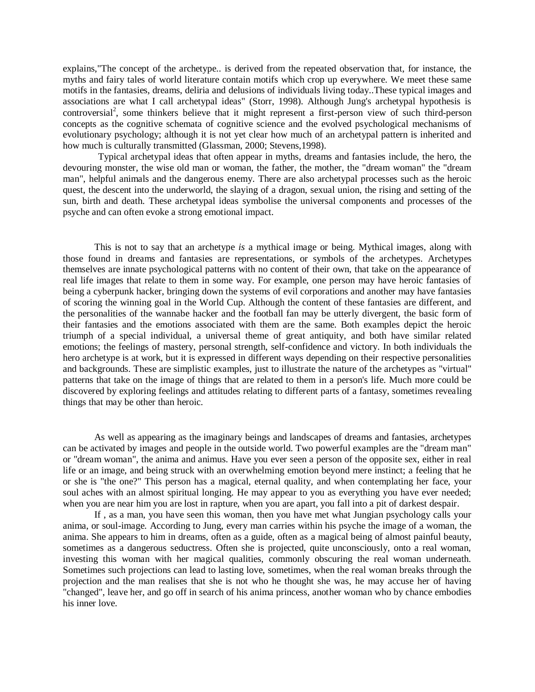explains,"The concept of the archetype.. is derived from the repeated observation that, for instance, the myths and fairy tales of world literature contain motifs which crop up everywhere. We meet these same motifs in the fantasies, dreams, deliria and delusions of individuals living today..These typical images and associations are what I call archetypal ideas" (Storr, 1998). Although Jung's archetypal hypothesis is controversial<sup>2</sup>, some thinkers believe that it might represent a first-person view of such third-person concepts as the cognitive schemata of cognitive science and the evolved psychological mechanisms of evolutionary psychology; although it is not yet clear how much of an archetypal pattern is inherited and how much is culturally transmitted (Glassman, 2000; Stevens,1998).

Typical archetypal ideas that often appear in myths, dreams and fantasies include, the hero, the devouring monster, the wise old man or woman, the father, the mother, the "dream woman" the "dream man", helpful animals and the dangerous enemy. There are also archetypal processes such as the heroic quest, the descent into the underworld, the slaying of a dragon, sexual union, the rising and setting of the sun, birth and death. These archetypal ideas symbolise the universal components and processes of the psyche and can often evoke a strong emotional impact.

This is not to say that an archetype *is* a mythical image or being. Mythical images, along with those found in dreams and fantasies are representations, or symbols of the archetypes. Archetypes themselves are innate psychological patterns with no content of their own, that take on the appearance of real life images that relate to them in some way. For example, one person may have heroic fantasies of being a cyberpunk hacker, bringing down the systems of evil corporations and another may have fantasies of scoring the winning goal in the World Cup. Although the content of these fantasies are different, and the personalities of the wannabe hacker and the football fan may be utterly divergent, the basic form of their fantasies and the emotions associated with them are the same. Both examples depict the heroic triumph of a special individual, a universal theme of great antiquity, and both have similar related emotions; the feelings of mastery, personal strength, self-confidence and victory. In both individuals the hero archetype is at work, but it is expressed in different ways depending on their respective personalities and backgrounds. These are simplistic examples, just to illustrate the nature of the archetypes as "virtual" patterns that take on the image of things that are related to them in a person's life. Much more could be discovered by exploring feelings and attitudes relating to different parts of a fantasy, sometimes revealing things that may be other than heroic.

As well as appearing as the imaginary beings and landscapes of dreams and fantasies, archetypes can be activated by images and people in the outside world. Two powerful examples are the "dream man" or "dream woman", the anima and animus. Have you ever seen a person of the opposite sex, either in real life or an image, and being struck with an overwhelming emotion beyond mere instinct; a feeling that he or she is "the one?" This person has a magical, eternal quality, and when contemplating her face, your soul aches with an almost spiritual longing. He may appear to you as everything you have ever needed; when you are near him you are lost in rapture, when you are apart, you fall into a pit of darkest despair.

If , as a man, you have seen this woman, then you have met what Jungian psychology calls your anima, or soul-image. According to Jung, every man carries within his psyche the image of a woman, the anima. She appears to him in dreams, often as a guide, often as a magical being of almost painful beauty, sometimes as a dangerous seductress. Often she is projected, quite unconsciously, onto a real woman, investing this woman with her magical qualities, commonly obscuring the real woman underneath. Sometimes such projections can lead to lasting love, sometimes, when the real woman breaks through the projection and the man realises that she is not who he thought she was, he may accuse her of having "changed", leave her, and go off in search of his anima princess, another woman who by chance embodies his inner love.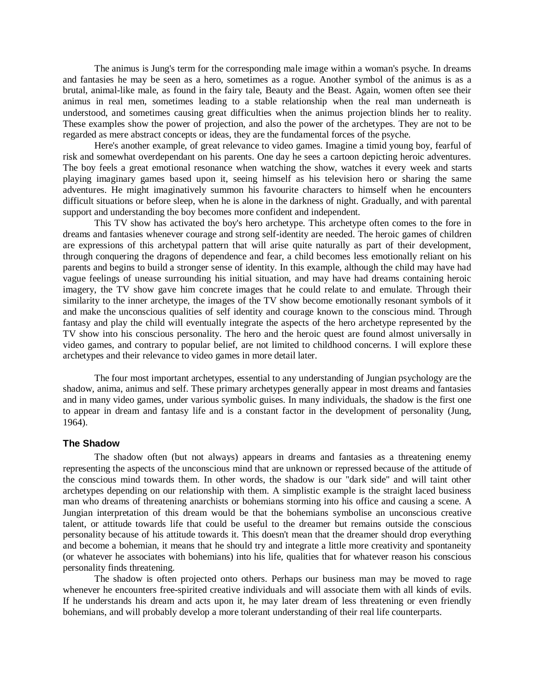The animus is Jung's term for the corresponding male image within a woman's psyche. In dreams and fantasies he may be seen as a hero, sometimes as a rogue. Another symbol of the animus is as a brutal, animal-like male, as found in the fairy tale, Beauty and the Beast. Again, women often see their animus in real men, sometimes leading to a stable relationship when the real man underneath is understood, and sometimes causing great difficulties when the animus projection blinds her to reality. These examples show the power of projection, and also the power of the archetypes. They are not to be regarded as mere abstract concepts or ideas, they are the fundamental forces of the psyche.

Here's another example, of great relevance to video games. Imagine a timid young boy, fearful of risk and somewhat overdependant on his parents. One day he sees a cartoon depicting heroic adventures. The boy feels a great emotional resonance when watching the show, watches it every week and starts playing imaginary games based upon it, seeing himself as his television hero or sharing the same adventures. He might imaginatively summon his favourite characters to himself when he encounters difficult situations or before sleep, when he is alone in the darkness of night. Gradually, and with parental support and understanding the boy becomes more confident and independent.

This TV show has activated the boy's hero archetype. This archetype often comes to the fore in dreams and fantasies whenever courage and strong self-identity are needed. The heroic games of children are expressions of this archetypal pattern that will arise quite naturally as part of their development, through conquering the dragons of dependence and fear, a child becomes less emotionally reliant on his parents and begins to build a stronger sense of identity. In this example, although the child may have had vague feelings of unease surrounding his initial situation, and may have had dreams containing heroic imagery, the TV show gave him concrete images that he could relate to and emulate. Through their similarity to the inner archetype, the images of the TV show become emotionally resonant symbols of it and make the unconscious qualities of self identity and courage known to the conscious mind. Through fantasy and play the child will eventually integrate the aspects of the hero archetype represented by the TV show into his conscious personality. The hero and the heroic quest are found almost universally in video games, and contrary to popular belief, are not limited to childhood concerns. I will explore these archetypes and their relevance to video games in more detail later.

The four most important archetypes, essential to any understanding of Jungian psychology are the shadow, anima, animus and self. These primary archetypes generally appear in most dreams and fantasies and in many video games, under various symbolic guises. In many individuals, the shadow is the first one to appear in dream and fantasy life and is a constant factor in the development of personality (Jung, 1964).

#### **The Shadow**

The shadow often (but not always) appears in dreams and fantasies as a threatening enemy representing the aspects of the unconscious mind that are unknown or repressed because of the attitude of the conscious mind towards them. In other words, the shadow is our "dark side" and will taint other archetypes depending on our relationship with them. A simplistic example is the straight laced business man who dreams of threatening anarchists or bohemians storming into his office and causing a scene. A Jungian interpretation of this dream would be that the bohemians symbolise an unconscious creative talent, or attitude towards life that could be useful to the dreamer but remains outside the conscious personality because of his attitude towards it. This doesn't mean that the dreamer should drop everything and become a bohemian, it means that he should try and integrate a little more creativity and spontaneity (or whatever he associates with bohemians) into his life, qualities that for whatever reason his conscious personality finds threatening.

The shadow is often projected onto others. Perhaps our business man may be moved to rage whenever he encounters free-spirited creative individuals and will associate them with all kinds of evils. If he understands his dream and acts upon it, he may later dream of less threatening or even friendly bohemians, and will probably develop a more tolerant understanding of their real life counterparts.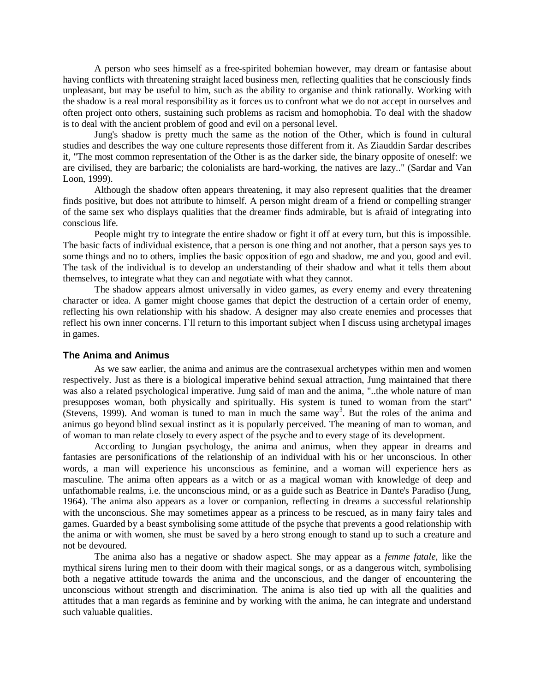A person who sees himself as a free-spirited bohemian however, may dream or fantasise about having conflicts with threatening straight laced business men, reflecting qualities that he consciously finds unpleasant, but may be useful to him, such as the ability to organise and think rationally. Working with the shadow is a real moral responsibility as it forces us to confront what we do not accept in ourselves and often project onto others, sustaining such problems as racism and homophobia. To deal with the shadow is to deal with the ancient problem of good and evil on a personal level.

Jung's shadow is pretty much the same as the notion of the Other, which is found in cultural studies and describes the way one culture represents those different from it. As Ziauddin Sardar describes it, "The most common representation of the Other is as the darker side, the binary opposite of oneself: we are civilised, they are barbaric; the colonialists are hard-working, the natives are lazy.." (Sardar and Van Loon, 1999).

Although the shadow often appears threatening, it may also represent qualities that the dreamer finds positive, but does not attribute to himself. A person might dream of a friend or compelling stranger of the same sex who displays qualities that the dreamer finds admirable, but is afraid of integrating into conscious life.

People might try to integrate the entire shadow or fight it off at every turn, but this is impossible. The basic facts of individual existence, that a person is one thing and not another, that a person says yes to some things and no to others, implies the basic opposition of ego and shadow, me and you, good and evil. The task of the individual is to develop an understanding of their shadow and what it tells them about themselves, to integrate what they can and negotiate with what they cannot.

The shadow appears almost universally in video games, as every enemy and every threatening character or idea. A gamer might choose games that depict the destruction of a certain order of enemy, reflecting his own relationship with his shadow. A designer may also create enemies and processes that reflect his own inner concerns. I`ll return to this important subject when I discuss using archetypal images in games.

### **The Anima and Animus**

As we saw earlier, the anima and animus are the contrasexual archetypes within men and women respectively. Just as there is a biological imperative behind sexual attraction, Jung maintained that there was also a related psychological imperative. Jung said of man and the anima, "..the whole nature of man presupposes woman, both physically and spiritually. His system is tuned to woman from the start" (Stevens, 1999). And woman is tuned to man in much the same way<sup>3</sup>. But the roles of the anima and animus go beyond blind sexual instinct as it is popularly perceived. The meaning of man to woman, and of woman to man relate closely to every aspect of the psyche and to every stage of its development.

According to Jungian psychology, the anima and animus, when they appear in dreams and fantasies are personifications of the relationship of an individual with his or her unconscious. In other words, a man will experience his unconscious as feminine, and a woman will experience hers as masculine. The anima often appears as a witch or as a magical woman with knowledge of deep and unfathomable realms, i.e. the unconscious mind, or as a guide such as Beatrice in Dante's Paradiso (Jung, 1964). The anima also appears as a lover or companion, reflecting in dreams a successful relationship with the unconscious. She may sometimes appear as a princess to be rescued, as in many fairy tales and games. Guarded by a beast symbolising some attitude of the psyche that prevents a good relationship with the anima or with women, she must be saved by a hero strong enough to stand up to such a creature and not be devoured.

The anima also has a negative or shadow aspect. She may appear as a *femme fatale,* like the mythical sirens luring men to their doom with their magical songs, or as a dangerous witch, symbolising both a negative attitude towards the anima and the unconscious, and the danger of encountering the unconscious without strength and discrimination. The anima is also tied up with all the qualities and attitudes that a man regards as feminine and by working with the anima, he can integrate and understand such valuable qualities.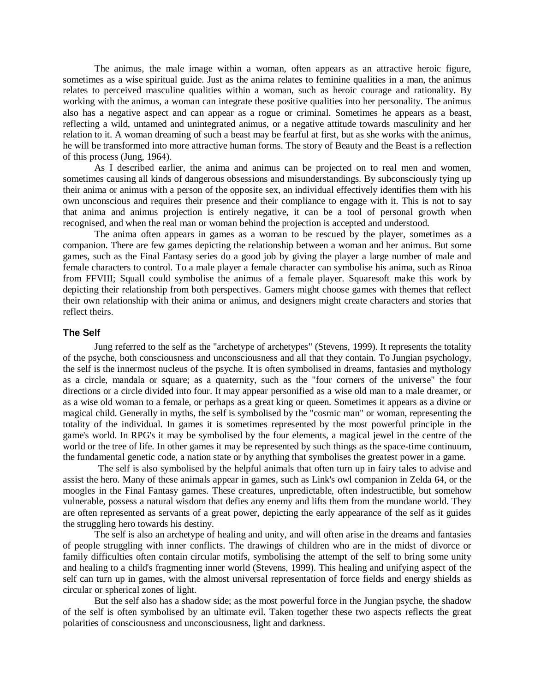The animus, the male image within a woman, often appears as an attractive heroic figure, sometimes as a wise spiritual guide. Just as the anima relates to feminine qualities in a man, the animus relates to perceived masculine qualities within a woman, such as heroic courage and rationality. By working with the animus, a woman can integrate these positive qualities into her personality. The animus also has a negative aspect and can appear as a rogue or criminal. Sometimes he appears as a beast, reflecting a wild, untamed and unintegrated animus, or a negative attitude towards masculinity and her relation to it. A woman dreaming of such a beast may be fearful at first, but as she works with the animus, he will be transformed into more attractive human forms. The story of Beauty and the Beast is a reflection of this process (Jung, 1964).

As I described earlier, the anima and animus can be projected on to real men and women, sometimes causing all kinds of dangerous obsessions and misunderstandings. By subconsciously tying up their anima or animus with a person of the opposite sex, an individual effectively identifies them with his own unconscious and requires their presence and their compliance to engage with it. This is not to say that anima and animus projection is entirely negative, it can be a tool of personal growth when recognised, and when the real man or woman behind the projection is accepted and understood.

The anima often appears in games as a woman to be rescued by the player, sometimes as a companion. There are few games depicting the relationship between a woman and her animus. But some games, such as the Final Fantasy series do a good job by giving the player a large number of male and female characters to control. To a male player a female character can symbolise his anima, such as Rinoa from FFVIII; Squall could symbolise the animus of a female player. Squaresoft make this work by depicting their relationship from both perspectives. Gamers might choose games with themes that reflect their own relationship with their anima or animus, and designers might create characters and stories that reflect theirs.

#### **The Self**

Jung referred to the self as the "archetype of archetypes" (Stevens, 1999). It represents the totality of the psyche, both consciousness and unconsciousness and all that they contain. To Jungian psychology, the self is the innermost nucleus of the psyche. It is often symbolised in dreams, fantasies and mythology as a circle, mandala or square; as a quaternity, such as the "four corners of the universe" the four directions or a circle divided into four. It may appear personified as a wise old man to a male dreamer, or as a wise old woman to a female, or perhaps as a great king or queen. Sometimes it appears as a divine or magical child. Generally in myths, the self is symbolised by the "cosmic man" or woman, representing the totality of the individual. In games it is sometimes represented by the most powerful principle in the game's world. In RPG's it may be symbolised by the four elements, a magical jewel in the centre of the world or the tree of life. In other games it may be represented by such things as the space-time continuum, the fundamental genetic code, a nation state or by anything that symbolises the greatest power in a game.

The self is also symbolised by the helpful animals that often turn up in fairy tales to advise and assist the hero. Many of these animals appear in games, such as Link's owl companion in Zelda 64, or the moogles in the Final Fantasy games. These creatures, unpredictable, often indestructible, but somehow vulnerable, possess a natural wisdom that defies any enemy and lifts them from the mundane world. They are often represented as servants of a great power, depicting the early appearance of the self as it guides the struggling hero towards his destiny.

The self is also an archetype of healing and unity, and will often arise in the dreams and fantasies of people struggling with inner conflicts. The drawings of children who are in the midst of divorce or family difficulties often contain circular motifs, symbolising the attempt of the self to bring some unity and healing to a child's fragmenting inner world (Stevens, 1999). This healing and unifying aspect of the self can turn up in games, with the almost universal representation of force fields and energy shields as circular or spherical zones of light.

But the self also has a shadow side; as the most powerful force in the Jungian psyche, the shadow of the self is often symbolised by an ultimate evil. Taken together these two aspects reflects the great polarities of consciousness and unconsciousness, light and darkness.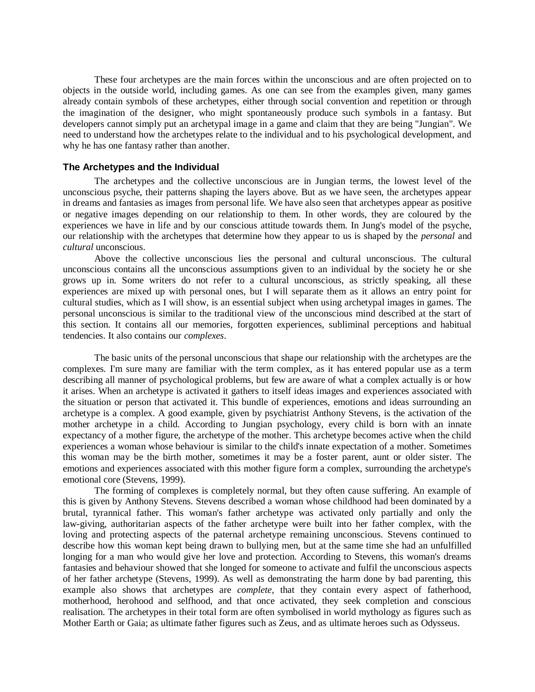These four archetypes are the main forces within the unconscious and are often projected on to objects in the outside world, including games. As one can see from the examples given, many games already contain symbols of these archetypes, either through social convention and repetition or through the imagination of the designer, who might spontaneously produce such symbols in a fantasy. But developers cannot simply put an archetypal image in a game and claim that they are being "Jungian". We need to understand how the archetypes relate to the individual and to his psychological development, and why he has one fantasy rather than another.

#### **The Archetypes and the Individual**

The archetypes and the collective unconscious are in Jungian terms, the lowest level of the unconscious psyche, their patterns shaping the layers above. But as we have seen, the archetypes appear in dreams and fantasies as images from personal life. We have also seen that archetypes appear as positive or negative images depending on our relationship to them. In other words, they are coloured by the experiences we have in life and by our conscious attitude towards them. In Jung's model of the psyche, our relationship with the archetypes that determine how they appear to us is shaped by the *personal* and *cultural* unconscious.

Above the collective unconscious lies the personal and cultural unconscious. The cultural unconscious contains all the unconscious assumptions given to an individual by the society he or she grows up in. Some writers do not refer to a cultural unconscious, as strictly speaking, all these experiences are mixed up with personal ones, but I will separate them as it allows an entry point for cultural studies, which as I will show, is an essential subject when using archetypal images in games. The personal unconscious is similar to the traditional view of the unconscious mind described at the start of this section. It contains all our memories, forgotten experiences, subliminal perceptions and habitual tendencies. It also contains our *complexes*.

The basic units of the personal unconscious that shape our relationship with the archetypes are the complexes*.* I'm sure many are familiar with the term complex, as it has entered popular use as a term describing all manner of psychological problems, but few are aware of what a complex actually is or how it arises. When an archetype is activated it gathers to itself ideas images and experiences associated with the situation or person that activated it. This bundle of experiences, emotions and ideas surrounding an archetype is a complex. A good example, given by psychiatrist Anthony Stevens, is the activation of the mother archetype in a child. According to Jungian psychology, every child is born with an innate expectancy of a mother figure, the archetype of the mother. This archetype becomes active when the child experiences a woman whose behaviour is similar to the child's innate expectation of a mother. Sometimes this woman may be the birth mother, sometimes it may be a foster parent, aunt or older sister. The emotions and experiences associated with this mother figure form a complex, surrounding the archetype's emotional core (Stevens, 1999).

The forming of complexes is completely normal, but they often cause suffering. An example of this is given by Anthony Stevens. Stevens described a woman whose childhood had been dominated by a brutal, tyrannical father. This woman's father archetype was activated only partially and only the law-giving, authoritarian aspects of the father archetype were built into her father complex, with the loving and protecting aspects of the paternal archetype remaining unconscious. Stevens continued to describe how this woman kept being drawn to bullying men, but at the same time she had an unfulfilled longing for a man who would give her love and protection. According to Stevens, this woman's dreams fantasies and behaviour showed that she longed for someone to activate and fulfil the unconscious aspects of her father archetype (Stevens, 1999). As well as demonstrating the harm done by bad parenting, this example also shows that archetypes are *complete,* that they contain every aspect of fatherhood, motherhood, herohood and selfhood, and that once activated, they seek completion and conscious realisation. The archetypes in their total form are often symbolised in world mythology as figures such as Mother Earth or Gaia; as ultimate father figures such as Zeus, and as ultimate heroes such as Odysseus.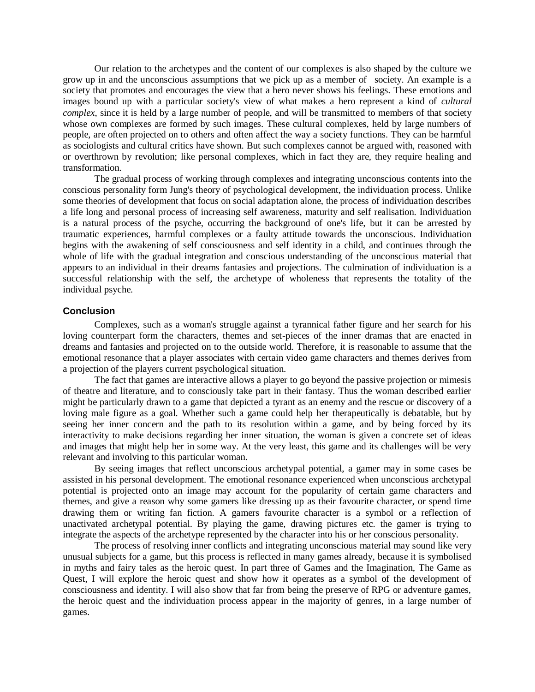Our relation to the archetypes and the content of our complexes is also shaped by the culture we grow up in and the unconscious assumptions that we pick up as a member of society. An example is a society that promotes and encourages the view that a hero never shows his feelings. These emotions and images bound up with a particular society's view of what makes a hero represent a kind of *cultural complex*, since it is held by a large number of people, and will be transmitted to members of that society whose own complexes are formed by such images. These cultural complexes, held by large numbers of people, are often projected on to others and often affect the way a society functions. They can be harmful as sociologists and cultural critics have shown. But such complexes cannot be argued with, reasoned with or overthrown by revolution; like personal complexes, which in fact they are, they require healing and transformation.

The gradual process of working through complexes and integrating unconscious contents into the conscious personality form Jung's theory of psychological development, the individuation process. Unlike some theories of development that focus on social adaptation alone, the process of individuation describes a life long and personal process of increasing self awareness, maturity and self realisation. Individuation is a natural process of the psyche, occurring the background of one's life, but it can be arrested by traumatic experiences, harmful complexes or a faulty attitude towards the unconscious. Individuation begins with the awakening of self consciousness and self identity in a child, and continues through the whole of life with the gradual integration and conscious understanding of the unconscious material that appears to an individual in their dreams fantasies and projections. The culmination of individuation is a successful relationship with the self, the archetype of wholeness that represents the totality of the individual psyche.

### **Conclusion**

Complexes, such as a woman's struggle against a tyrannical father figure and her search for his loving counterpart form the characters, themes and set-pieces of the inner dramas that are enacted in dreams and fantasies and projected on to the outside world. Therefore, it is reasonable to assume that the emotional resonance that a player associates with certain video game characters and themes derives from a projection of the players current psychological situation.

The fact that games are interactive allows a player to go beyond the passive projection or mimesis of theatre and literature, and to consciously take part in their fantasy. Thus the woman described earlier might be particularly drawn to a game that depicted a tyrant as an enemy and the rescue or discovery of a loving male figure as a goal. Whether such a game could help her therapeutically is debatable, but by seeing her inner concern and the path to its resolution within a game, and by being forced by its interactivity to make decisions regarding her inner situation, the woman is given a concrete set of ideas and images that might help her in some way. At the very least, this game and its challenges will be very relevant and involving to this particular woman.

By seeing images that reflect unconscious archetypal potential, a gamer may in some cases be assisted in his personal development. The emotional resonance experienced when unconscious archetypal potential is projected onto an image may account for the popularity of certain game characters and themes, and give a reason why some gamers like dressing up as their favourite character, or spend time drawing them or writing fan fiction. A gamers favourite character is a symbol or a reflection of unactivated archetypal potential. By playing the game, drawing pictures etc. the gamer is trying to integrate the aspects of the archetype represented by the character into his or her conscious personality.

The process of resolving inner conflicts and integrating unconscious material may sound like very unusual subjects for a game, but this process is reflected in many games already, because it is symbolised in myths and fairy tales as the heroic quest. In part three of Games and the Imagination, The Game as Quest, I will explore the heroic quest and show how it operates as a symbol of the development of consciousness and identity. I will also show that far from being the preserve of RPG or adventure games, the heroic quest and the individuation process appear in the majority of genres, in a large number of games.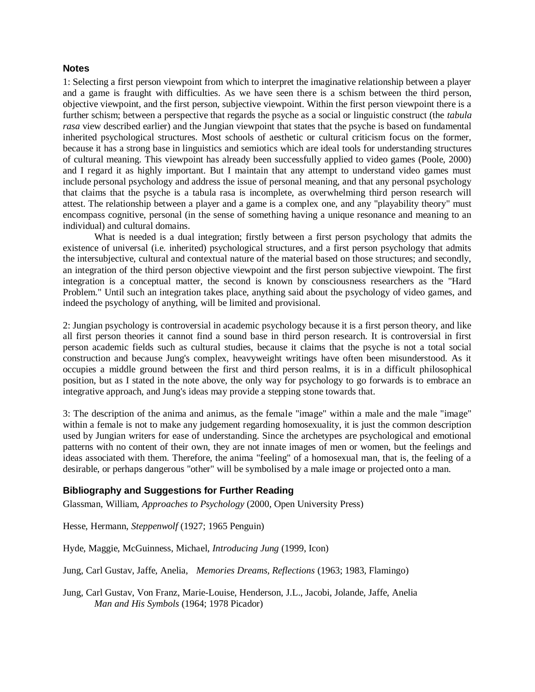#### **Notes**

1: Selecting a first person viewpoint from which to interpret the imaginative relationship between a player and a game is fraught with difficulties. As we have seen there is a schism between the third person, objective viewpoint, and the first person, subjective viewpoint. Within the first person viewpoint there is a further schism; between a perspective that regards the psyche as a social or linguistic construct (the *tabula rasa* view described earlier) and the Jungian viewpoint that states that the psyche is based on fundamental inherited psychological structures. Most schools of aesthetic or cultural criticism focus on the former, because it has a strong base in linguistics and semiotics which are ideal tools for understanding structures of cultural meaning. This viewpoint has already been successfully applied to video games (Poole, 2000) and I regard it as highly important. But I maintain that any attempt to understand video games must include personal psychology and address the issue of personal meaning, and that any personal psychology that claims that the psyche is a tabula rasa is incomplete, as overwhelming third person research will attest. The relationship between a player and a game is a complex one, and any "playability theory" must encompass cognitive, personal (in the sense of something having a unique resonance and meaning to an individual) and cultural domains.

What is needed is a dual integration; firstly between a first person psychology that admits the existence of universal (i.e. inherited) psychological structures, and a first person psychology that admits the intersubjective, cultural and contextual nature of the material based on those structures; and secondly, an integration of the third person objective viewpoint and the first person subjective viewpoint. The first integration is a conceptual matter, the second is known by consciousness researchers as the "Hard Problem." Until such an integration takes place, anything said about the psychology of video games, and indeed the psychology of anything, will be limited and provisional.

2: Jungian psychology is controversial in academic psychology because it is a first person theory, and like all first person theories it cannot find a sound base in third person research. It is controversial in first person academic fields such as cultural studies, because it claims that the psyche is not a total social construction and because Jung's complex, heavyweight writings have often been misunderstood. As it occupies a middle ground between the first and third person realms, it is in a difficult philosophical position, but as I stated in the note above, the only way for psychology to go forwards is to embrace an integrative approach, and Jung's ideas may provide a stepping stone towards that.

3: The description of the anima and animus, as the female "image" within a male and the male "image" within a female is not to make any judgement regarding homosexuality, it is just the common description used by Jungian writers for ease of understanding. Since the archetypes are psychological and emotional patterns with no content of their own, they are not innate images of men or women, but the feelings and ideas associated with them. Therefore, the anima "feeling" of a homosexual man, that is, the feeling of a desirable, or perhaps dangerous "other" will be symbolised by a male image or projected onto a man.

## **Bibliography and Suggestions for Further Reading**

Glassman, William, *Approaches to Psychology* (2000, Open University Press)

Hesse, Hermann, *Steppenwolf* (1927; 1965 Penguin)

Hyde, Maggie, McGuinness, Michael, *Introducing Jung* (1999, Icon)

Jung, Carl Gustav, Jaffe, Anelia, *Memories Dreams, Reflections* (1963; 1983, Flamingo)

Jung, Carl Gustav, Von Franz, Marie-Louise, Henderson, J.L., Jacobi, Jolande, Jaffe, Anelia *Man and His Symbols* (1964; 1978 Picador)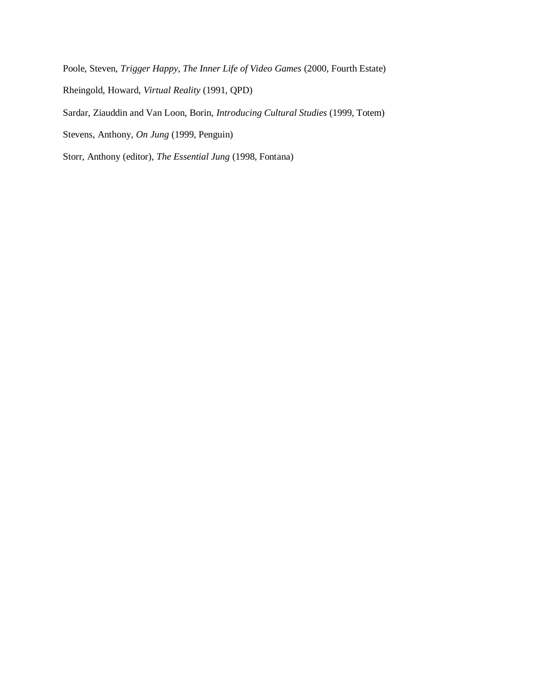Poole, Steven, *Trigger Happy, The Inner Life of Video Games* (2000, Fourth Estate) Rheingold, Howard, *Virtual Reality* (1991, QPD) Sardar, Ziauddin and Van Loon, Borin, *Introducing Cultural Studies* (1999, Totem) Stevens, Anthony, *On Jung* (1999, Penguin) Storr, Anthony (editor), *The Essential Jung* (1998, Fontana)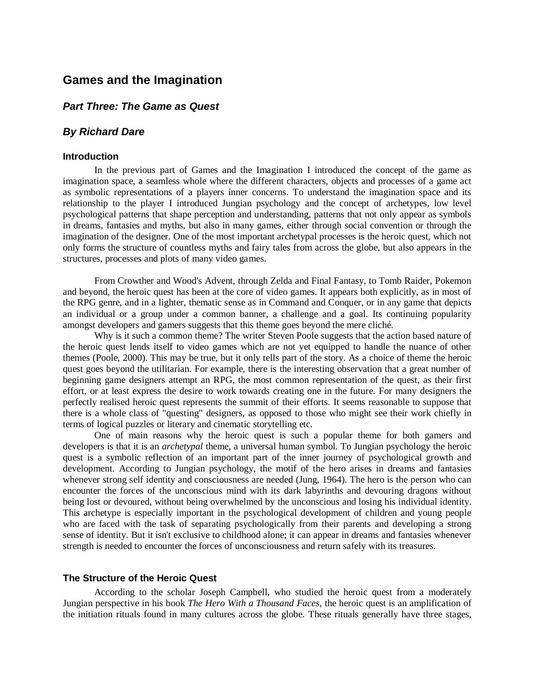# **Games and the Imagination**

# *Part Three: The Game as Quest*

# *By Richard Dare*

#### **Introduction**

In the previous part of Games and the Imagination I introduced the concept of the game as imagination space, a seamless whole where the different characters, objects and processes of a game act as symbolic representations of a players inner concerns. To understand the imagination space and its relationship to the player I introduced Jungian psychology and the concept of archetypes, low level psychological patterns that shape perception and understanding, patterns that not only appear as symbols in dreams, fantasies and myths, but also in many games, either through social convention or through the imagination of the designer. One of the most important archetypal processes is the heroic quest, which not only forms the structure of countless myths and fairy tales from across the globe, but also appears in the structures, processes and plots of many video games.

From Crowther and Wood's Advent, through Zelda and Final Fantasy, to Tomb Raider, Pokemon and beyond, the heroic quest has been at the core of video games. It appears both explicitly, as in most of the RPG genre, and in a lighter, thematic sense as in Command and Conquer, or in any game that depicts an individual or a group under a common banner, a challenge and a goal. Its continuing popularity amongst developers and gamers suggests that this theme goes beyond the mere cliché.

Why is it such a common theme? The writer Steven Poole suggests that the action based nature of the heroic quest lends itself to video games which are not yet equipped to handle the nuance of other themes (Poole, 2000). This may be true, but it only tells part of the story. As a choice of theme the heroic quest goes beyond the utilitarian. For example, there is the interesting observation that a great number of beginning game designers attempt an RPG, the most common representation of the quest, as their first effort, or at least express the desire to work towards creating one in the future. For many designers the perfectly realised heroic quest represents the summit of their efforts. It seems reasonable to suppose that there is a whole class of "questing" designers, as opposed to those who might see their work chiefly in terms of logical puzzles or literary and cinematic storytelling etc.

One of main reasons why the heroic quest is such a popular theme for both gamers and developers is that it is an *archetypal* theme, a universal human symbol. To Jungian psychology the heroic quest is a symbolic reflection of an important part of the inner journey of psychological growth and development. According to Jungian psychology, the motif of the hero arises in dreams and fantasies whenever strong self identity and consciousness are needed (Jung, 1964). The hero is the person who can encounter the forces of the unconscious mind with its dark labyrinths and devouring dragons without being lost or devoured, without being overwhelmed by the unconscious and losing his individual identity. This archetype is especially important in the psychological development of children and young people who are faced with the task of separating psychologically from their parents and developing a strong sense of identity. But it isn't exclusive to childhood alone; it can appear in dreams and fantasies whenever strength is needed to encounter the forces of unconsciousness and return safely with its treasures.

### **The Structure of the Heroic Quest**

According to the scholar Joseph Campbell, who studied the heroic quest from a moderately Jungian perspective in his book *The Hero With a Thousand Faces*, the heroic quest is an amplification of the initiation rituals found in many cultures across the globe. These rituals generally have three stages,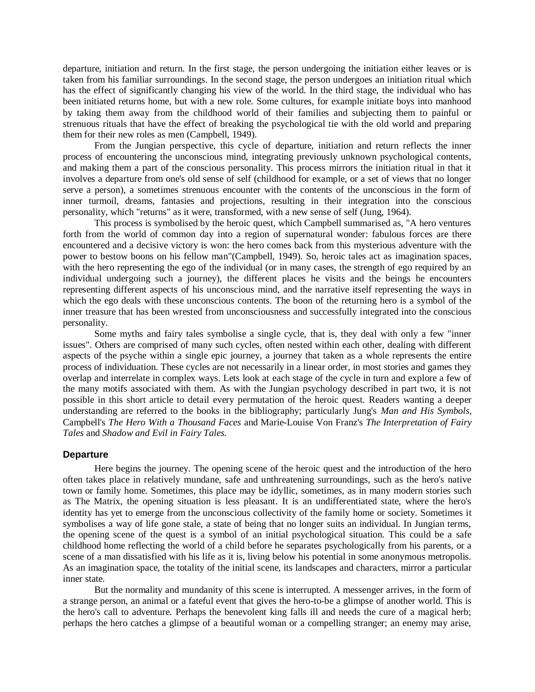departure, initiation and return. In the first stage, the person undergoing the initiation either leaves or is taken from his familiar surroundings. In the second stage, the person undergoes an initiation ritual which has the effect of significantly changing his view of the world. In the third stage, the individual who has been initiated returns home, but with a new role. Some cultures, for example initiate boys into manhood by taking them away from the childhood world of their families and subjecting them to painful or strenuous rituals that have the effect of breaking the psychological tie with the old world and preparing them for their new roles as men (Campbell, 1949).

From the Jungian perspective, this cycle of departure, initiation and return reflects the inner process of encountering the unconscious mind, integrating previously unknown psychological contents, and making them a part of the conscious personality. This process mirrors the initiation ritual in that it involves a departure from one's old sense of self (childhood for example, or a set of views that no longer serve a person), a sometimes strenuous encounter with the contents of the unconscious in the form of inner turmoil, dreams, fantasies and projections, resulting in their integration into the conscious personality, which "returns" as it were, transformed, with a new sense of self (Jung, 1964).

This process is symbolised by the heroic quest, which Campbell summarised as, "A hero ventures forth from the world of common day into a region of supernatural wonder: fabulous forces are there encountered and a decisive victory is won: the hero comes back from this mysterious adventure with the power to bestow boons on his fellow man"(Campbell, 1949). So, heroic tales act as imagination spaces, with the hero representing the ego of the individual (or in many cases, the strength of ego required by an individual undergoing such a journey), the different places he visits and the beings he encounters representing different aspects of his unconscious mind, and the narrative itself representing the ways in which the ego deals with these unconscious contents. The boon of the returning hero is a symbol of the inner treasure that has been wrested from unconsciousness and successfully integrated into the conscious personality.

Some myths and fairy tales symbolise a single cycle, that is, they deal with only a few "inner issues". Others are comprised of many such cycles, often nested within each other, dealing with different aspects of the psyche within a single epic journey, a journey that taken as a whole represents the entire process of individuation. These cycles are not necessarily in a linear order, in most stories and games they overlap and interrelate in complex ways. Lets look at each stage of the cycle in turn and explore a few of the many motifs associated with them. As with the Jungian psychology described in part two, it is not possible in this short article to detail every permutation of the heroic quest. Readers wanting a deeper understanding are referred to the books in the bibliography; particularly Jung's *Man and His Symbols,*  Campbell's *The Hero With a Thousand Faces* and Marie-Louise Von Franz's *The Interpretation of Fairy Tales* and *Shadow and Evil in Fairy Tales.*

#### **Departure**

Here begins the journey. The opening scene of the heroic quest and the introduction of the hero often takes place in relatively mundane, safe and unthreatening surroundings, such as the hero's native town or family home. Sometimes, this place may be idyllic, sometimes, as in many modern stories such as The Matrix, the opening situation is less pleasant. It is an undifferentiated state, where the hero's identity has yet to emerge from the unconscious collectivity of the family home or society. Sometimes it symbolises a way of life gone stale, a state of being that no longer suits an individual. In Jungian terms, the opening scene of the quest is a symbol of an initial psychological situation. This could be a safe childhood home reflecting the world of a child before he separates psychologically from his parents, or a scene of a man dissatisfied with his life as it is, living below his potential in some anonymous metropolis. As an imagination space, the totality of the initial scene, its landscapes and characters, mirror a particular inner state.

But the normality and mundanity of this scene is interrupted. A messenger arrives, in the form of a strange person, an animal or a fateful event that gives the hero-to-be a glimpse of another world. This is the hero's call to adventure. Perhaps the benevolent king falls ill and needs the cure of a magical herb; perhaps the hero catches a glimpse of a beautiful woman or a compelling stranger; an enemy may arise,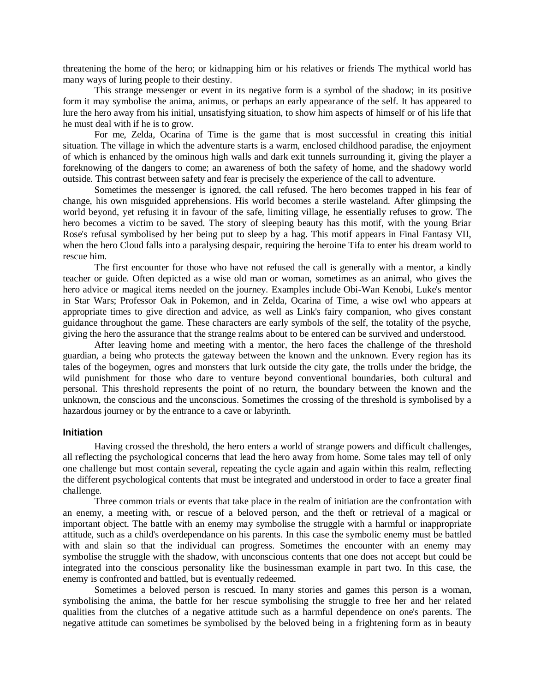threatening the home of the hero; or kidnapping him or his relatives or friends The mythical world has many ways of luring people to their destiny.

This strange messenger or event in its negative form is a symbol of the shadow; in its positive form it may symbolise the anima, animus, or perhaps an early appearance of the self. It has appeared to lure the hero away from his initial, unsatisfying situation, to show him aspects of himself or of his life that he must deal with if he is to grow.

For me, Zelda, Ocarina of Time is the game that is most successful in creating this initial situation. The village in which the adventure starts is a warm, enclosed childhood paradise, the enjoyment of which is enhanced by the ominous high walls and dark exit tunnels surrounding it, giving the player a foreknowing of the dangers to come; an awareness of both the safety of home, and the shadowy world outside. This contrast between safety and fear is precisely the experience of the call to adventure.

Sometimes the messenger is ignored, the call refused. The hero becomes trapped in his fear of change, his own misguided apprehensions. His world becomes a sterile wasteland. After glimpsing the world beyond, yet refusing it in favour of the safe, limiting village, he essentially refuses to grow. The hero becomes a victim to be saved. The story of sleeping beauty has this motif, with the young Briar Rose's refusal symbolised by her being put to sleep by a hag. This motif appears in Final Fantasy VII, when the hero Cloud falls into a paralysing despair, requiring the heroine Tifa to enter his dream world to rescue him.

The first encounter for those who have not refused the call is generally with a mentor, a kindly teacher or guide. Often depicted as a wise old man or woman, sometimes as an animal, who gives the hero advice or magical items needed on the journey. Examples include Obi-Wan Kenobi, Luke's mentor in Star Wars; Professor Oak in Pokemon, and in Zelda, Ocarina of Time, a wise owl who appears at appropriate times to give direction and advice, as well as Link's fairy companion, who gives constant guidance throughout the game. These characters are early symbols of the self, the totality of the psyche, giving the hero the assurance that the strange realms about to be entered can be survived and understood.

After leaving home and meeting with a mentor, the hero faces the challenge of the threshold guardian, a being who protects the gateway between the known and the unknown. Every region has its tales of the bogeymen, ogres and monsters that lurk outside the city gate, the trolls under the bridge, the wild punishment for those who dare to venture beyond conventional boundaries, both cultural and personal. This threshold represents the point of no return, the boundary between the known and the unknown, the conscious and the unconscious. Sometimes the crossing of the threshold is symbolised by a hazardous journey or by the entrance to a cave or labyrinth.

#### **Initiation**

Having crossed the threshold, the hero enters a world of strange powers and difficult challenges, all reflecting the psychological concerns that lead the hero away from home. Some tales may tell of only one challenge but most contain several, repeating the cycle again and again within this realm, reflecting the different psychological contents that must be integrated and understood in order to face a greater final challenge.

Three common trials or events that take place in the realm of initiation are the confrontation with an enemy, a meeting with, or rescue of a beloved person, and the theft or retrieval of a magical or important object. The battle with an enemy may symbolise the struggle with a harmful or inappropriate attitude, such as a child's overdependance on his parents. In this case the symbolic enemy must be battled with and slain so that the individual can progress. Sometimes the encounter with an enemy may symbolise the struggle with the shadow, with unconscious contents that one does not accept but could be integrated into the conscious personality like the businessman example in part two. In this case, the enemy is confronted and battled, but is eventually redeemed.

Sometimes a beloved person is rescued. In many stories and games this person is a woman, symbolising the anima, the battle for her rescue symbolising the struggle to free her and her related qualities from the clutches of a negative attitude such as a harmful dependence on one's parents. The negative attitude can sometimes be symbolised by the beloved being in a frightening form as in beauty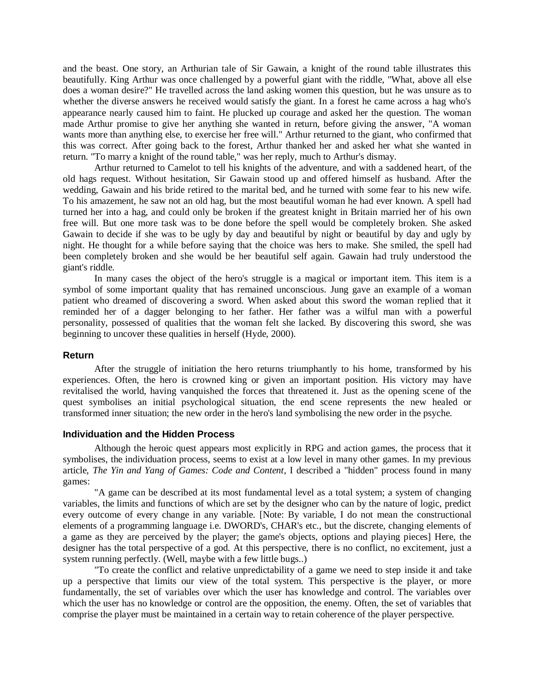and the beast. One story, an Arthurian tale of Sir Gawain, a knight of the round table illustrates this beautifully. King Arthur was once challenged by a powerful giant with the riddle, "What, above all else does a woman desire?" He travelled across the land asking women this question, but he was unsure as to whether the diverse answers he received would satisfy the giant. In a forest he came across a hag who's appearance nearly caused him to faint. He plucked up courage and asked her the question. The woman made Arthur promise to give her anything she wanted in return, before giving the answer, "A woman wants more than anything else, to exercise her free will." Arthur returned to the giant, who confirmed that this was correct. After going back to the forest, Arthur thanked her and asked her what she wanted in return. "To marry a knight of the round table," was her reply, much to Arthur's dismay.

Arthur returned to Camelot to tell his knights of the adventure, and with a saddened heart, of the old hags request. Without hesitation, Sir Gawain stood up and offered himself as husband. After the wedding, Gawain and his bride retired to the marital bed, and he turned with some fear to his new wife. To his amazement, he saw not an old hag, but the most beautiful woman he had ever known. A spell had turned her into a hag, and could only be broken if the greatest knight in Britain married her of his own free will. But one more task was to be done before the spell would be completely broken. She asked Gawain to decide if she was to be ugly by day and beautiful by night or beautiful by day and ugly by night. He thought for a while before saying that the choice was hers to make. She smiled, the spell had been completely broken and she would be her beautiful self again. Gawain had truly understood the giant's riddle.

In many cases the object of the hero's struggle is a magical or important item. This item is a symbol of some important quality that has remained unconscious. Jung gave an example of a woman patient who dreamed of discovering a sword. When asked about this sword the woman replied that it reminded her of a dagger belonging to her father. Her father was a wilful man with a powerful personality, possessed of qualities that the woman felt she lacked. By discovering this sword, she was beginning to uncover these qualities in herself (Hyde, 2000).

#### **Return**

After the struggle of initiation the hero returns triumphantly to his home, transformed by his experiences. Often, the hero is crowned king or given an important position. His victory may have revitalised the world, having vanquished the forces that threatened it. Just as the opening scene of the quest symbolises an initial psychological situation, the end scene represents the new healed or transformed inner situation; the new order in the hero's land symbolising the new order in the psyche.

### **Individuation and the Hidden Process**

Although the heroic quest appears most explicitly in RPG and action games, the process that it symbolises, the individuation process, seems to exist at a low level in many other games. In my previous article, *The Yin and Yang of Games: Code and Content*, I described a "hidden" process found in many games:

"A game can be described at its most fundamental level as a total system; a system of changing variables, the limits and functions of which are set by the designer who can by the nature of logic, predict every outcome of every change in any variable. [Note: By variable, I do not mean the constructional elements of a programming language i.e. DWORD's, CHAR's etc., but the discrete, changing elements of a game as they are perceived by the player; the game's objects, options and playing pieces] Here, the designer has the total perspective of a god. At this perspective, there is no conflict, no excitement, just a system running perfectly. (Well, maybe with a few little bugs..)

"To create the conflict and relative unpredictability of a game we need to step inside it and take up a perspective that limits our view of the total system. This perspective is the player, or more fundamentally, the set of variables over which the user has knowledge and control. The variables over which the user has no knowledge or control are the opposition, the enemy. Often, the set of variables that comprise the player must be maintained in a certain way to retain coherence of the player perspective.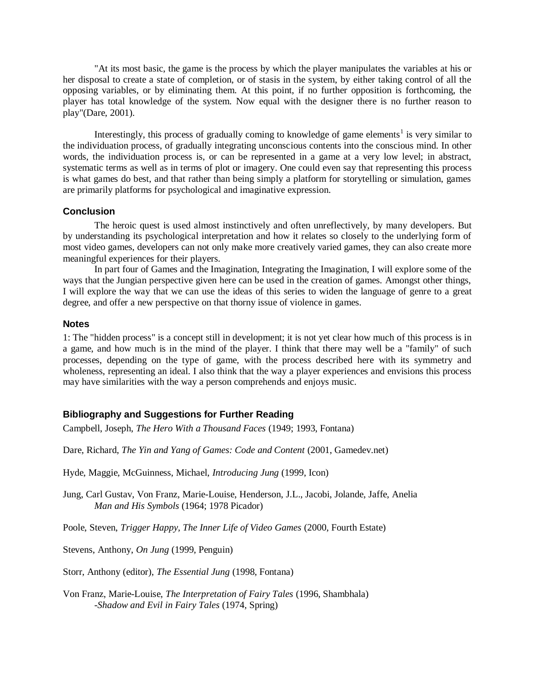"At its most basic, the game is the process by which the player manipulates the variables at his or her disposal to create a state of completion, or of stasis in the system, by either taking control of all the opposing variables, or by eliminating them. At this point, if no further opposition is forthcoming, the player has total knowledge of the system. Now equal with the designer there is no further reason to play"(Dare, 2001).

Interestingly, this process of gradually coming to knowledge of game elements<sup>1</sup> is very similar to the individuation process, of gradually integrating unconscious contents into the conscious mind. In other words, the individuation process is, or can be represented in a game at a very low level; in abstract, systematic terms as well as in terms of plot or imagery. One could even say that representing this process is what games do best, and that rather than being simply a platform for storytelling or simulation, games are primarily platforms for psychological and imaginative expression.

## **Conclusion**

The heroic quest is used almost instinctively and often unreflectively, by many developers. But by understanding its psychological interpretation and how it relates so closely to the underlying form of most video games, developers can not only make more creatively varied games, they can also create more meaningful experiences for their players.

In part four of Games and the Imagination, Integrating the Imagination, I will explore some of the ways that the Jungian perspective given here can be used in the creation of games. Amongst other things, I will explore the way that we can use the ideas of this series to widen the language of genre to a great degree, and offer a new perspective on that thorny issue of violence in games.

### **Notes**

1: The "hidden process" is a concept still in development; it is not yet clear how much of this process is in a game, and how much is in the mind of the player. I think that there may well be a "family" of such processes, depending on the type of game, with the process described here with its symmetry and wholeness, representing an ideal. I also think that the way a player experiences and envisions this process may have similarities with the way a person comprehends and enjoys music.

## **Bibliography and Suggestions for Further Reading**

Campbell, Joseph, *The Hero With a Thousand Faces* (1949; 1993, Fontana)

Dare, Richard, *The Yin and Yang of Games: Code and Content* (2001, Gamedev.net)

Hyde, Maggie, McGuinness, Michael, *Introducing Jung* (1999, Icon)

Jung, Carl Gustav, Von Franz, Marie-Louise, Henderson, J.L., Jacobi, Jolande, Jaffe, Anelia *Man and His Symbols* (1964; 1978 Picador)

Poole, Steven, *Trigger Happy, The Inner Life of Video Games* (2000, Fourth Estate)

Stevens, Anthony, *On Jung* (1999, Penguin)

Storr, Anthony (editor), *The Essential Jung* (1998, Fontana)

Von Franz, Marie-Louise, *The Interpretation of Fairy Tales* (1996, Shambhala) -*Shadow and Evil in Fairy Tales* (1974, Spring)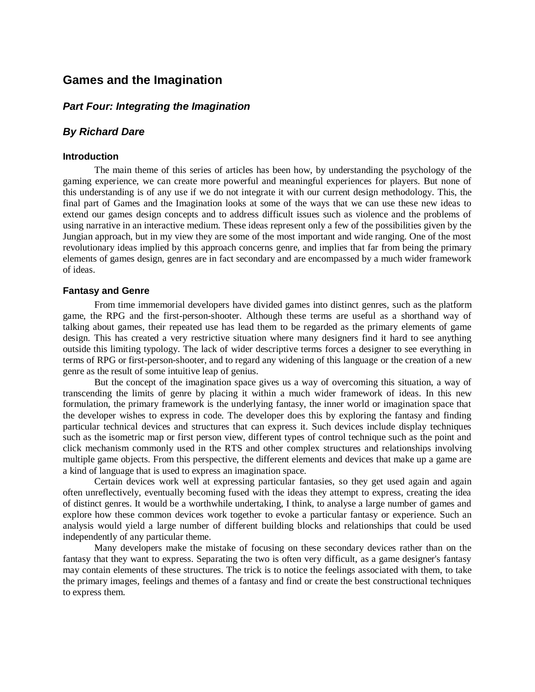# **Games and the Imagination**

# *Part Four: Integrating the Imagination*

## *By Richard Dare*

#### **Introduction**

The main theme of this series of articles has been how, by understanding the psychology of the gaming experience, we can create more powerful and meaningful experiences for players. But none of this understanding is of any use if we do not integrate it with our current design methodology. This, the final part of Games and the Imagination looks at some of the ways that we can use these new ideas to extend our games design concepts and to address difficult issues such as violence and the problems of using narrative in an interactive medium. These ideas represent only a few of the possibilities given by the Jungian approach, but in my view they are some of the most important and wide ranging. One of the most revolutionary ideas implied by this approach concerns genre, and implies that far from being the primary elements of games design, genres are in fact secondary and are encompassed by a much wider framework of ideas.

#### **Fantasy and Genre**

From time immemorial developers have divided games into distinct genres, such as the platform game, the RPG and the first-person-shooter. Although these terms are useful as a shorthand way of talking about games, their repeated use has lead them to be regarded as the primary elements of game design. This has created a very restrictive situation where many designers find it hard to see anything outside this limiting typology. The lack of wider descriptive terms forces a designer to see everything in terms of RPG or first-person-shooter, and to regard any widening of this language or the creation of a new genre as the result of some intuitive leap of genius.

But the concept of the imagination space gives us a way of overcoming this situation, a way of transcending the limits of genre by placing it within a much wider framework of ideas. In this new formulation, the primary framework is the underlying fantasy, the inner world or imagination space that the developer wishes to express in code. The developer does this by exploring the fantasy and finding particular technical devices and structures that can express it. Such devices include display techniques such as the isometric map or first person view, different types of control technique such as the point and click mechanism commonly used in the RTS and other complex structures and relationships involving multiple game objects. From this perspective, the different elements and devices that make up a game are a kind of language that is used to express an imagination space.

Certain devices work well at expressing particular fantasies, so they get used again and again often unreflectively, eventually becoming fused with the ideas they attempt to express, creating the idea of distinct genres. It would be a worthwhile undertaking, I think, to analyse a large number of games and explore how these common devices work together to evoke a particular fantasy or experience. Such an analysis would yield a large number of different building blocks and relationships that could be used independently of any particular theme.

Many developers make the mistake of focusing on these secondary devices rather than on the fantasy that they want to express. Separating the two is often very difficult, as a game designer's fantasy may contain elements of these structures. The trick is to notice the feelings associated with them, to take the primary images, feelings and themes of a fantasy and find or create the best constructional techniques to express them.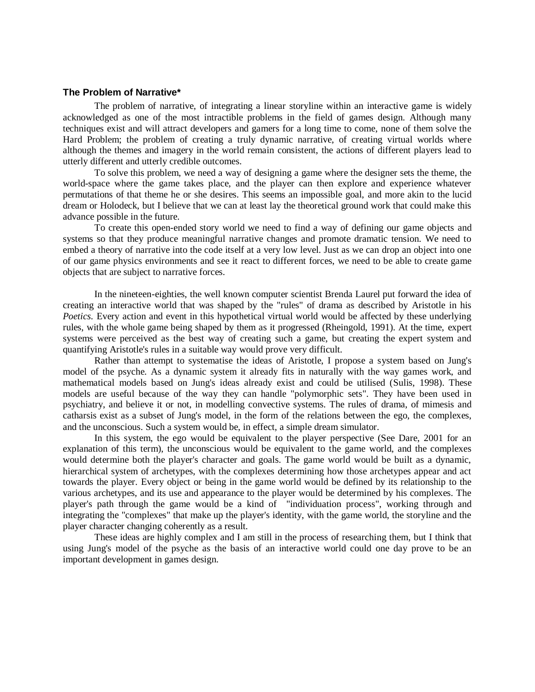### **The Problem of Narrative\***

The problem of narrative, of integrating a linear storyline within an interactive game is widely acknowledged as one of the most intractible problems in the field of games design. Although many techniques exist and will attract developers and gamers for a long time to come, none of them solve the Hard Problem; the problem of creating a truly dynamic narrative, of creating virtual worlds where although the themes and imagery in the world remain consistent, the actions of different players lead to utterly different and utterly credible outcomes.

To solve this problem, we need a way of designing a game where the designer sets the theme, the world-space where the game takes place, and the player can then explore and experience whatever permutations of that theme he or she desires. This seems an impossible goal, and more akin to the lucid dream or Holodeck, but I believe that we can at least lay the theoretical ground work that could make this advance possible in the future.

To create this open-ended story world we need to find a way of defining our game objects and systems so that they produce meaningful narrative changes and promote dramatic tension. We need to embed a theory of narrative into the code itself at a very low level. Just as we can drop an object into one of our game physics environments and see it react to different forces, we need to be able to create game objects that are subject to narrative forces.

In the nineteen-eighties, the well known computer scientist Brenda Laurel put forward the idea of creating an interactive world that was shaped by the "rules" of drama as described by Aristotle in his *Poetics.* Every action and event in this hypothetical virtual world would be affected by these underlying rules, with the whole game being shaped by them as it progressed (Rheingold, 1991). At the time, expert systems were perceived as the best way of creating such a game, but creating the expert system and quantifying Aristotle's rules in a suitable way would prove very difficult.

Rather than attempt to systematise the ideas of Aristotle, I propose a system based on Jung's model of the psyche. As a dynamic system it already fits in naturally with the way games work, and mathematical models based on Jung's ideas already exist and could be utilised (Sulis, 1998). These models are useful because of the way they can handle "polymorphic sets". They have been used in psychiatry, and believe it or not, in modelling convective systems. The rules of drama, of mimesis and catharsis exist as a subset of Jung's model, in the form of the relations between the ego, the complexes, and the unconscious. Such a system would be, in effect, a simple dream simulator.

In this system, the ego would be equivalent to the player perspective (See Dare, 2001 for an explanation of this term), the unconscious would be equivalent to the game world, and the complexes would determine both the player's character and goals. The game world would be built as a dynamic, hierarchical system of archetypes, with the complexes determining how those archetypes appear and act towards the player. Every object or being in the game world would be defined by its relationship to the various archetypes, and its use and appearance to the player would be determined by his complexes. The player's path through the game would be a kind of "individuation process", working through and integrating the "complexes" that make up the player's identity, with the game world, the storyline and the player character changing coherently as a result.

These ideas are highly complex and I am still in the process of researching them, but I think that using Jung's model of the psyche as the basis of an interactive world could one day prove to be an important development in games design.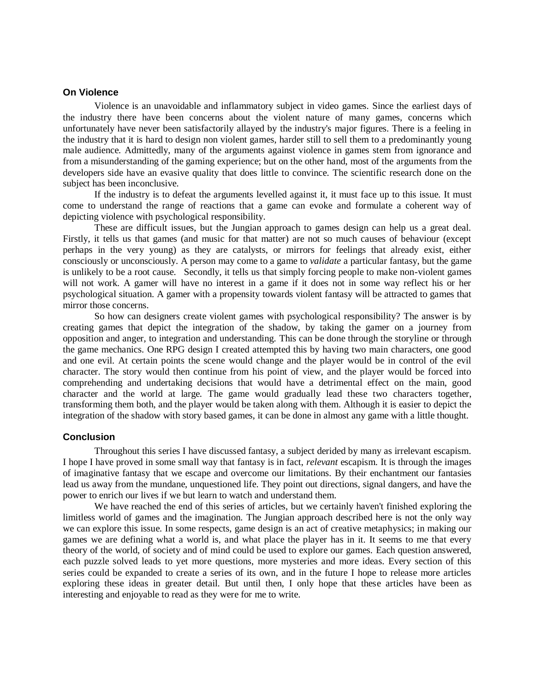#### **On Violence**

Violence is an unavoidable and inflammatory subject in video games. Since the earliest days of the industry there have been concerns about the violent nature of many games, concerns which unfortunately have never been satisfactorily allayed by the industry's major figures. There is a feeling in the industry that it is hard to design non violent games, harder still to sell them to a predominantly young male audience. Admittedly, many of the arguments against violence in games stem from ignorance and from a misunderstanding of the gaming experience; but on the other hand, most of the arguments from the developers side have an evasive quality that does little to convince. The scientific research done on the subject has been inconclusive.

If the industry is to defeat the arguments levelled against it, it must face up to this issue. It must come to understand the range of reactions that a game can evoke and formulate a coherent way of depicting violence with psychological responsibility.

These are difficult issues, but the Jungian approach to games design can help us a great deal. Firstly, it tells us that games (and music for that matter) are not so much causes of behaviour (except perhaps in the very young) as they are catalysts, or mirrors for feelings that already exist, either consciously or unconsciously. A person may come to a game to *validate* a particular fantasy, but the game is unlikely to be a root cause. Secondly, it tells us that simply forcing people to make non-violent games will not work. A gamer will have no interest in a game if it does not in some way reflect his or her psychological situation. A gamer with a propensity towards violent fantasy will be attracted to games that mirror those concerns.

So how can designers create violent games with psychological responsibility? The answer is by creating games that depict the integration of the shadow, by taking the gamer on a journey from opposition and anger, to integration and understanding. This can be done through the storyline or through the game mechanics. One RPG design I created attempted this by having two main characters, one good and one evil. At certain points the scene would change and the player would be in control of the evil character. The story would then continue from his point of view, and the player would be forced into comprehending and undertaking decisions that would have a detrimental effect on the main, good character and the world at large. The game would gradually lead these two characters together, transforming them both, and the player would be taken along with them. Although it is easier to depict the integration of the shadow with story based games, it can be done in almost any game with a little thought.

### **Conclusion**

Throughout this series I have discussed fantasy, a subject derided by many as irrelevant escapism. I hope I have proved in some small way that fantasy is in fact, *relevant* escapism. It is through the images of imaginative fantasy that we escape and overcome our limitations. By their enchantment our fantasies lead us away from the mundane, unquestioned life. They point out directions, signal dangers, and have the power to enrich our lives if we but learn to watch and understand them.

We have reached the end of this series of articles, but we certainly haven't finished exploring the limitless world of games and the imagination. The Jungian approach described here is not the only way we can explore this issue. In some respects, game design is an act of creative metaphysics; in making our games we are defining what a world is, and what place the player has in it. It seems to me that every theory of the world, of society and of mind could be used to explore our games. Each question answered, each puzzle solved leads to yet more questions, more mysteries and more ideas. Every section of this series could be expanded to create a series of its own, and in the future I hope to release more articles exploring these ideas in greater detail. But until then, I only hope that these articles have been as interesting and enjoyable to read as they were for me to write.